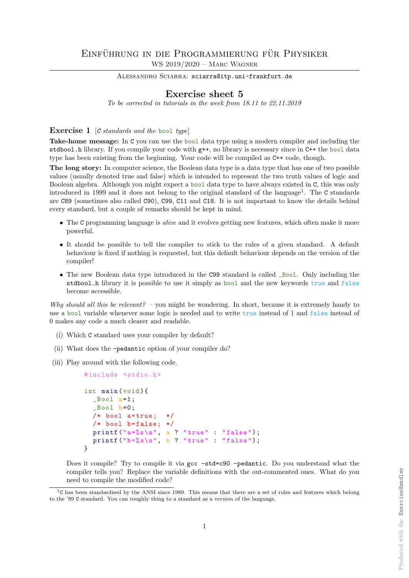## EINFÜHRUNG IN DIE PROGRAMMIERUNG FÜR PHYSIKER WS 2019/2020 – Marc Wagner

ALESSANDRO SCIARRA: sciarra@itp.uni-frankfurt.de

## Exercise sheet 5

To be corrected in tutorials in the week from 18.11 to 22.11.2019

**Exercise 1** [C standards and the bool type]

Take-home message: In C you can use the bool data type using a modern compiler and including the stdbool.h library. If you compile your code with  $g$ ++, no library is necessary since in C++ the bool data type has been existing from the beginning. Your code will be compiled as C++ code, though.

The long story: In computer science, the Boolean data type is a data type that has one of two possible values (usually denoted true and false) which is intended to represent the two truth values of logic and Boolean algebra. Although you might expect a bool data type to have always existed in C, this was only introduced in 1999 and it does not belong to the original standard of the language<sup>1</sup>. The C standards are C89 (sometimes also called C90), C99, C11 and C18. It is not important to know the details behind every standard, but a couple of remarks should be kept in mind.

- The C programming language is *alive* and it evolves getting new features, which often make it more powerful.
- It should be possible to tell the compiler to stick to the rules of a given standard. A default behaviour is fixed if nothing is requested, but this default behaviour depends on the version of the compiler!
- The new Boolean data type introduced in the C99 standard is called \_Bool. Only including the stdbool.h library it is possible to use it simply as bool and the new keywords true and false become accessible.

Why should all this be relevant? – you might be wondering. In short, because it is extremely handy to use a bool variable whenever some logic is needed and to write true instead of 1 and false instead of 0 makes any code a much clearer and readable.

- (i) Which C standard uses your compiler by default?
- (ii) What does the -pedantic option of your compiler do?
- (iii) Play around with the following code.

```
#include <stdio.h>
int main ( void ) {
  _Bool a=1;
  _Bool b=0;
  /* bool a=true; *//* bool b=false; */
  printf ("a=\%s\n", a ? "true" : "false");
  printf ("b=%s\nu", b ? "true" : "false");
}
```
Does it compile? Try to compile it via gcc -std=c90 -pedantic. Do you understand what the compiler tells you? Replace the variable definitions with the out-commented ones. What do you need to compile the modified code?

 $1<sup>c</sup>$  has been standardised by the ANSI since 1989. This means that there are a set of rules and features which belong to the '89 C standard. You can roughly thing to a standard as a version of the language.